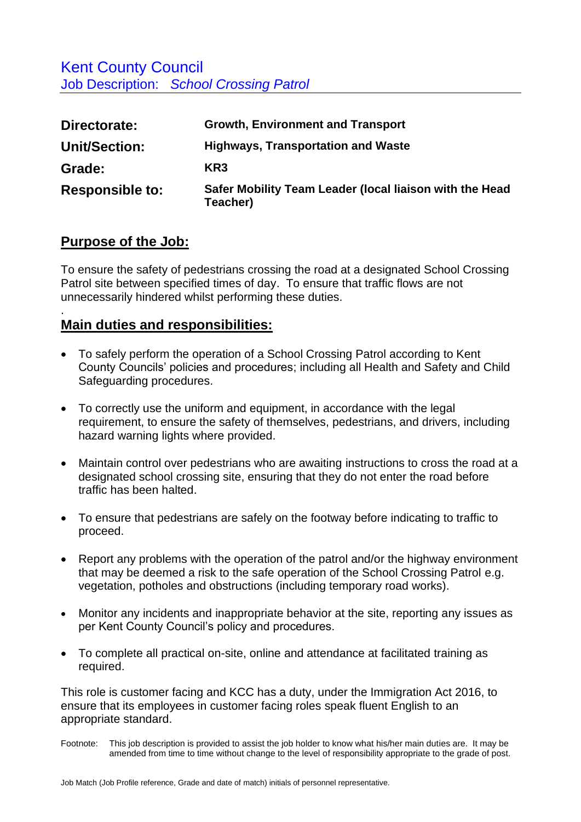Kent County Council Job Description: *School Crossing Patrol* 

| Directorate:           | <b>Growth, Environment and Transport</b>                            |
|------------------------|---------------------------------------------------------------------|
| <b>Unit/Section:</b>   | <b>Highways, Transportation and Waste</b>                           |
| Grade:                 | KR <sub>3</sub>                                                     |
| <b>Responsible to:</b> | Safer Mobility Team Leader (local liaison with the Head<br>Teacher) |

## **Purpose of the Job:**

.

To ensure the safety of pedestrians crossing the road at a designated School Crossing Patrol site between specified times of day. To ensure that traffic flows are not unnecessarily hindered whilst performing these duties.

## **Main duties and responsibilities:**

- To safely perform the operation of a School Crossing Patrol according to Kent County Councils' policies and procedures; including all Health and Safety and Child Safeguarding procedures.
- To correctly use the uniform and equipment, in accordance with the legal requirement, to ensure the safety of themselves, pedestrians, and drivers, including hazard warning lights where provided.
- Maintain control over pedestrians who are awaiting instructions to cross the road at a designated school crossing site, ensuring that they do not enter the road before traffic has been halted.
- To ensure that pedestrians are safely on the footway before indicating to traffic to proceed.
- Report any problems with the operation of the patrol and/or the highway environment that may be deemed a risk to the safe operation of the School Crossing Patrol e.g. vegetation, potholes and obstructions (including temporary road works).
- Monitor any incidents and inappropriate behavior at the site, reporting any issues as per Kent County Council's policy and procedures.
- To complete all practical on-site, online and attendance at facilitated training as required.

This role is customer facing and KCC has a duty, under the Immigration Act 2016, to ensure that its employees in customer facing roles speak fluent English to an appropriate standard.

Footnote: This job description is provided to assist the job holder to know what his/her main duties are. It may be amended from time to time without change to the level of responsibility appropriate to the grade of post.